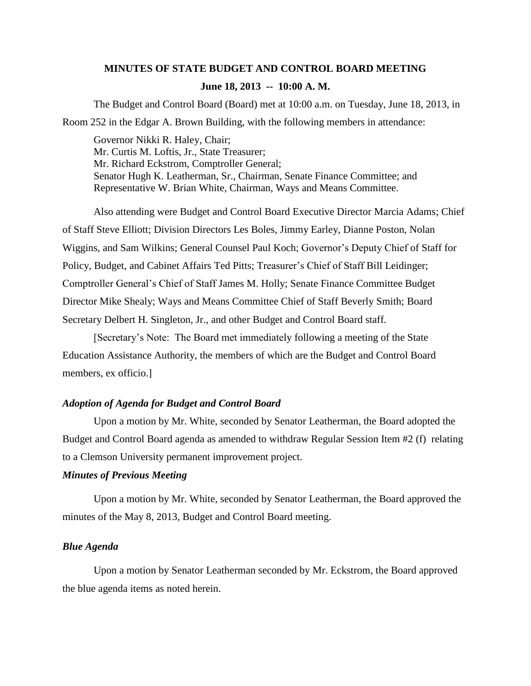# **MINUTES OF STATE BUDGET AND CONTROL BOARD MEETING June 18, 2013 -- 10:00 A. M.**

The Budget and Control Board (Board) met at 10:00 a.m. on Tuesday, June 18, 2013, in Room 252 in the Edgar A. Brown Building, with the following members in attendance:

Governor Nikki R. Haley, Chair; Mr. Curtis M. Loftis, Jr., State Treasurer; Mr. Richard Eckstrom, Comptroller General; Senator Hugh K. Leatherman, Sr., Chairman, Senate Finance Committee; and Representative W. Brian White, Chairman, Ways and Means Committee.

Also attending were Budget and Control Board Executive Director Marcia Adams; Chief of Staff Steve Elliott; Division Directors Les Boles, Jimmy Earley, Dianne Poston, Nolan Wiggins, and Sam Wilkins; General Counsel Paul Koch; Governor's Deputy Chief of Staff for Policy, Budget, and Cabinet Affairs Ted Pitts; Treasurer's Chief of Staff Bill Leidinger; Comptroller General's Chief of Staff James M. Holly; Senate Finance Committee Budget Director Mike Shealy; Ways and Means Committee Chief of Staff Beverly Smith; Board Secretary Delbert H. Singleton, Jr., and other Budget and Control Board staff.

[Secretary's Note: The Board met immediately following a meeting of the State Education Assistance Authority, the members of which are the Budget and Control Board members, ex officio.]

## *Adoption of Agenda for Budget and Control Board*

Upon a motion by Mr. White, seconded by Senator Leatherman, the Board adopted the Budget and Control Board agenda as amended to withdraw Regular Session Item #2 (f) relating to a Clemson University permanent improvement project.

### *Minutes of Previous Meeting*

Upon a motion by Mr. White, seconded by Senator Leatherman, the Board approved the minutes of the May 8, 2013, Budget and Control Board meeting.

#### *Blue Agenda*

Upon a motion by Senator Leatherman seconded by Mr. Eckstrom, the Board approved the blue agenda items as noted herein.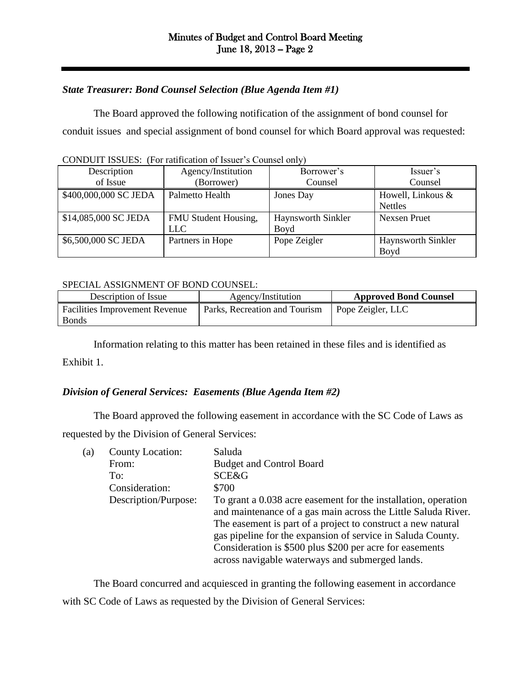# *State Treasurer: Bond Counsel Selection (Blue Agenda Item #1)*

The Board approved the following notification of the assignment of bond counsel for conduit issues and special assignment of bond counsel for which Board approval was requested:

| Description           | Agency/Institution   | Borrower's         | Issuer's           |  |
|-----------------------|----------------------|--------------------|--------------------|--|
| of Issue              | (Borrower)           | Counsel            | Counsel            |  |
| \$400,000,000 SC JEDA | Palmetto Health      | Jones Day          | Howell, Linkous &  |  |
|                       |                      |                    | <b>Nettles</b>     |  |
| \$14,085,000 SC JEDA  | FMU Student Housing, | Haynsworth Sinkler | Nexsen Pruet       |  |
|                       | LLC.                 | Boyd               |                    |  |
| \$6,500,000 SC JEDA   | Partners in Hope     | Pope Zeigler       | Haynsworth Sinkler |  |
|                       |                      |                    | Boyd               |  |

CONDUIT ISSUES: (For ratification of Issuer's Counsel only)

#### SPECIAL ASSIGNMENT OF BOND COUNSEL:

| Description of Issue                                  | Agency/Institution            | <b>Approved Bond Counsel</b> |
|-------------------------------------------------------|-------------------------------|------------------------------|
| <b>Facilities Improvement Revenue</b><br><b>Bonds</b> | Parks, Recreation and Tourism | Pope Zeigler, LLC            |

Information relating to this matter has been retained in these files and is identified as

Exhibit 1.

# *Division of General Services: Easements (Blue Agenda Item #2)*

The Board approved the following easement in accordance with the SC Code of Laws as requested by the Division of General Services:

| (a) | County Location:     | Saluda                                                         |
|-----|----------------------|----------------------------------------------------------------|
|     | From:                | <b>Budget and Control Board</b>                                |
|     | To:                  | <b>SCE&amp;G</b>                                               |
|     | Consideration:       | \$700                                                          |
|     | Description/Purpose: | To grant a 0.038 acre easement for the installation, operation |
|     |                      | and maintenance of a gas main across the Little Saluda River.  |
|     |                      | The easement is part of a project to construct a new natural   |
|     |                      | gas pipeline for the expansion of service in Saluda County.    |
|     |                      | Consideration is \$500 plus \$200 per acre for easements       |
|     |                      | across navigable waterways and submerged lands.                |
|     |                      |                                                                |

The Board concurred and acquiesced in granting the following easement in accordance with SC Code of Laws as requested by the Division of General Services: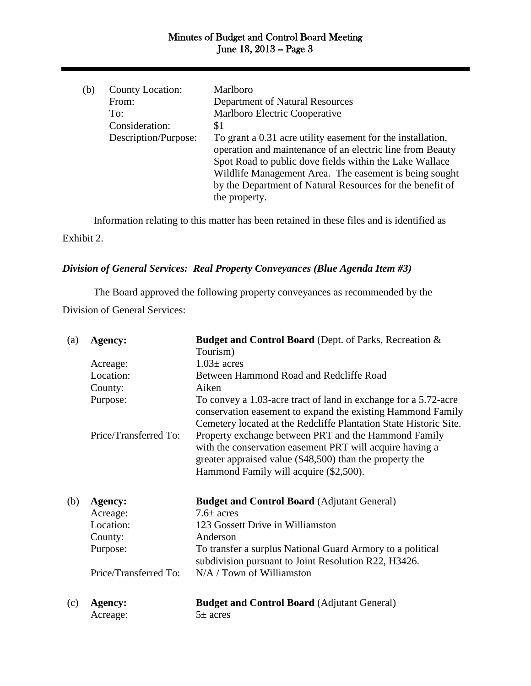| (b) | County Location:     | Marlboro                                                    |
|-----|----------------------|-------------------------------------------------------------|
|     | From:                | <b>Department of Natural Resources</b>                      |
|     | To:                  | Marlboro Electric Cooperative                               |
|     | Consideration:       | \$1                                                         |
|     | Description/Purpose: | To grant a 0.31 acre utility easement for the installation, |
|     |                      | operation and maintenance of an electric line from Beauty   |
|     |                      | Spot Road to public dove fields within the Lake Wallace     |
|     |                      | Wildlife Management Area. The easement is being sought      |
|     |                      | by the Department of Natural Resources for the benefit of   |
|     |                      | the property.                                               |
|     |                      |                                                             |

Information relating to this matter has been retained in these files and is identified as Exhibit 2.

# *Division of General Services: Real Property Conveyances (Blue Agenda Item #3)*

The Board approved the following property conveyances as recommended by the Division of General Services:

| (a) | Agency:               | <b>Budget and Control Board (Dept. of Parks, Recreation &amp;</b>                                                                                                            |
|-----|-----------------------|------------------------------------------------------------------------------------------------------------------------------------------------------------------------------|
|     |                       | Tourism)                                                                                                                                                                     |
|     | Acreage:              | $1.03\pm$ acres                                                                                                                                                              |
|     | Location:             | Between Hammond Road and Redcliffe Road                                                                                                                                      |
|     | County:               | Aiken                                                                                                                                                                        |
|     | Purpose:              | To convey a 1.03-acre tract of land in exchange for a 5.72-acre<br>conservation easement to expand the existing Hammond Family                                               |
|     |                       | Cemetery located at the Redcliffe Plantation State Historic Site.                                                                                                            |
|     | Price/Transferred To: | Property exchange between PRT and the Hammond Family<br>with the conservation easement PRT will acquire having a<br>greater appraised value (\$48,500) than the property the |
|     |                       | Hammond Family will acquire (\$2,500).                                                                                                                                       |
| (b) | Agency:               | <b>Budget and Control Board (Adjutant General)</b>                                                                                                                           |
|     | Acreage:              | $7.6\pm$ acres                                                                                                                                                               |
|     | Location:             | 123 Gossett Drive in Williamston                                                                                                                                             |
|     | County:               | Anderson                                                                                                                                                                     |
|     | Purpose:              | To transfer a surplus National Guard Armory to a political<br>subdivision pursuant to Joint Resolution R22, H3426.                                                           |
|     | Price/Transferred To: | $N/A / Town$ of Williamston                                                                                                                                                  |
| (c) | Agency:               | <b>Budget and Control Board (Adjutant General)</b>                                                                                                                           |
|     | Acreage:              | $5\pm$ acres                                                                                                                                                                 |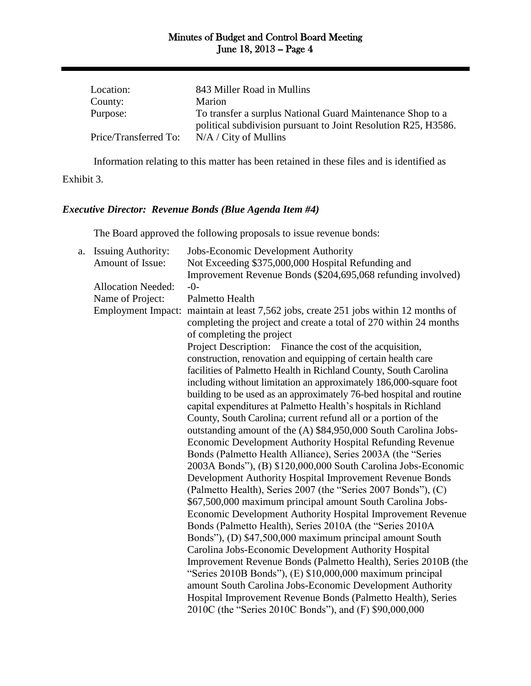| Location:             | 843 Miller Road in Mullins                                     |
|-----------------------|----------------------------------------------------------------|
| County:               | Marion                                                         |
| Purpose:              | To transfer a surplus National Guard Maintenance Shop to a     |
|                       | political subdivision pursuant to Joint Resolution R25, H3586. |
| Price/Transferred To: | $N/A / City$ of Mullins                                        |

Information relating to this matter has been retained in these files and is identified as Exhibit 3.

# *Executive Director: Revenue Bonds (Blue Agenda Item #4)*

The Board approved the following proposals to issue revenue bonds:

| a. | <b>Issuing Authority:</b> | Jobs-Economic Development Authority                                 |
|----|---------------------------|---------------------------------------------------------------------|
|    | Amount of Issue:          | Not Exceeding \$375,000,000 Hospital Refunding and                  |
|    |                           | Improvement Revenue Bonds (\$204,695,068 refunding involved)        |
|    | <b>Allocation Needed:</b> | $-0-$                                                               |
|    | Name of Project:          | Palmetto Health                                                     |
|    | <b>Employment Impact:</b> | maintain at least 7,562 jobs, create 251 jobs within 12 months of   |
|    |                           | completing the project and create a total of 270 within 24 months   |
|    |                           | of completing the project                                           |
|    |                           | Project Description: Finance the cost of the acquisition,           |
|    |                           | construction, renovation and equipping of certain health care       |
|    |                           | facilities of Palmetto Health in Richland County, South Carolina    |
|    |                           | including without limitation an approximately 186,000-square foot   |
|    |                           | building to be used as an approximately 76-bed hospital and routine |
|    |                           | capital expenditures at Palmetto Health's hospitals in Richland     |
|    |                           | County, South Carolina; current refund all or a portion of the      |
|    |                           | outstanding amount of the (A) \$84,950,000 South Carolina Jobs-     |
|    |                           | <b>Economic Development Authority Hospital Refunding Revenue</b>    |
|    |                           | Bonds (Palmetto Health Alliance), Series 2003A (the "Series         |
|    |                           | 2003A Bonds"), (B) \$120,000,000 South Carolina Jobs-Economic       |
|    |                           | Development Authority Hospital Improvement Revenue Bonds            |
|    |                           | (Palmetto Health), Series 2007 (the "Series 2007 Bonds"), (C)       |
|    |                           | \$67,500,000 maximum principal amount South Carolina Jobs-          |
|    |                           | Economic Development Authority Hospital Improvement Revenue         |
|    |                           | Bonds (Palmetto Health), Series 2010A (the "Series 2010A            |
|    |                           | Bonds"), (D) \$47,500,000 maximum principal amount South            |
|    |                           | Carolina Jobs-Economic Development Authority Hospital               |
|    |                           | Improvement Revenue Bonds (Palmetto Health), Series 2010B (the      |
|    |                           | "Series 2010B Bonds"), (E) \$10,000,000 maximum principal           |
|    |                           | amount South Carolina Jobs-Economic Development Authority           |
|    |                           | Hospital Improvement Revenue Bonds (Palmetto Health), Series        |
|    |                           | 2010C (the "Series 2010C Bonds"), and (F) \$90,000,000              |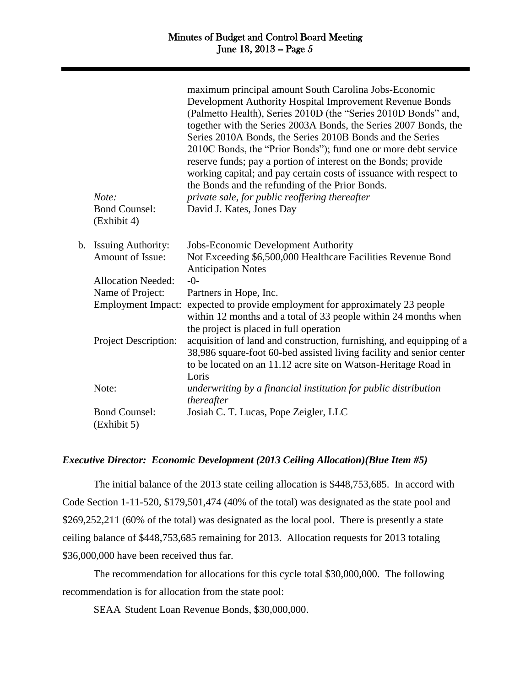|    | Note:<br><b>Bond Counsel:</b><br>(Exhibit 4) | maximum principal amount South Carolina Jobs-Economic<br>Development Authority Hospital Improvement Revenue Bonds<br>(Palmetto Health), Series 2010D (the "Series 2010D Bonds" and,<br>together with the Series 2003A Bonds, the Series 2007 Bonds, the<br>Series 2010A Bonds, the Series 2010B Bonds and the Series<br>2010C Bonds, the "Prior Bonds"); fund one or more debt service<br>reserve funds; pay a portion of interest on the Bonds; provide<br>working capital; and pay certain costs of issuance with respect to<br>the Bonds and the refunding of the Prior Bonds.<br>private sale, for public reoffering thereafter<br>David J. Kates, Jones Day |
|----|----------------------------------------------|------------------------------------------------------------------------------------------------------------------------------------------------------------------------------------------------------------------------------------------------------------------------------------------------------------------------------------------------------------------------------------------------------------------------------------------------------------------------------------------------------------------------------------------------------------------------------------------------------------------------------------------------------------------|
| b. | <b>Issuing Authority:</b>                    | Jobs-Economic Development Authority                                                                                                                                                                                                                                                                                                                                                                                                                                                                                                                                                                                                                              |
|    | Amount of Issue:                             | Not Exceeding \$6,500,000 Healthcare Facilities Revenue Bond<br><b>Anticipation Notes</b>                                                                                                                                                                                                                                                                                                                                                                                                                                                                                                                                                                        |
|    | <b>Allocation Needed:</b>                    | $-0-$                                                                                                                                                                                                                                                                                                                                                                                                                                                                                                                                                                                                                                                            |
|    | Name of Project:                             | Partners in Hope, Inc.                                                                                                                                                                                                                                                                                                                                                                                                                                                                                                                                                                                                                                           |
|    | <b>Employment Impact:</b>                    | expected to provide employment for approximately 23 people<br>within 12 months and a total of 33 people within 24 months when<br>the project is placed in full operation                                                                                                                                                                                                                                                                                                                                                                                                                                                                                         |
|    | <b>Project Description:</b>                  | acquisition of land and construction, furnishing, and equipping of a<br>38,986 square-foot 60-bed assisted living facility and senior center<br>to be located on an 11.12 acre site on Watson-Heritage Road in<br>Loris                                                                                                                                                                                                                                                                                                                                                                                                                                          |
|    | Note:                                        | underwriting by a financial institution for public distribution<br>thereafter                                                                                                                                                                                                                                                                                                                                                                                                                                                                                                                                                                                    |
|    | <b>Bond Counsel:</b><br>(Exhibit 5)          | Josiah C. T. Lucas, Pope Zeigler, LLC                                                                                                                                                                                                                                                                                                                                                                                                                                                                                                                                                                                                                            |
|    |                                              |                                                                                                                                                                                                                                                                                                                                                                                                                                                                                                                                                                                                                                                                  |

## *Executive Director: Economic Development (2013 Ceiling Allocation)(Blue Item #5)*

The initial balance of the 2013 state ceiling allocation is \$448,753,685. In accord with Code Section 1-11-520, \$179,501,474 (40% of the total) was designated as the state pool and \$269,252,211 (60% of the total) was designated as the local pool. There is presently a state ceiling balance of \$448,753,685 remaining for 2013. Allocation requests for 2013 totaling \$36,000,000 have been received thus far.

The recommendation for allocations for this cycle total \$30,000,000. The following recommendation is for allocation from the state pool:

SEAA Student Loan Revenue Bonds, \$30,000,000.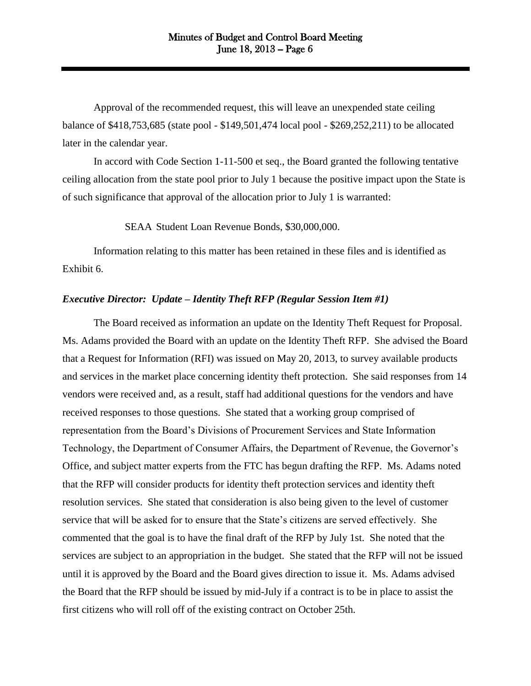Approval of the recommended request, this will leave an unexpended state ceiling balance of \$418,753,685 (state pool - \$149,501,474 local pool - \$269,252,211) to be allocated later in the calendar year.

In accord with Code Section 1-11-500 et seq., the Board granted the following tentative ceiling allocation from the state pool prior to July 1 because the positive impact upon the State is of such significance that approval of the allocation prior to July 1 is warranted:

SEAA Student Loan Revenue Bonds, \$30,000,000.

Information relating to this matter has been retained in these files and is identified as Exhibit 6.

#### *Executive Director: Update – Identity Theft RFP (Regular Session Item #1)*

The Board received as information an update on the Identity Theft Request for Proposal. Ms. Adams provided the Board with an update on the Identity Theft RFP. She advised the Board that a Request for Information (RFI) was issued on May 20, 2013, to survey available products and services in the market place concerning identity theft protection. She said responses from 14 vendors were received and, as a result, staff had additional questions for the vendors and have received responses to those questions. She stated that a working group comprised of representation from the Board's Divisions of Procurement Services and State Information Technology, the Department of Consumer Affairs, the Department of Revenue, the Governor's Office, and subject matter experts from the FTC has begun drafting the RFP. Ms. Adams noted that the RFP will consider products for identity theft protection services and identity theft resolution services. She stated that consideration is also being given to the level of customer service that will be asked for to ensure that the State's citizens are served effectively. She commented that the goal is to have the final draft of the RFP by July 1st. She noted that the services are subject to an appropriation in the budget. She stated that the RFP will not be issued until it is approved by the Board and the Board gives direction to issue it. Ms. Adams advised the Board that the RFP should be issued by mid-July if a contract is to be in place to assist the first citizens who will roll off of the existing contract on October 25th.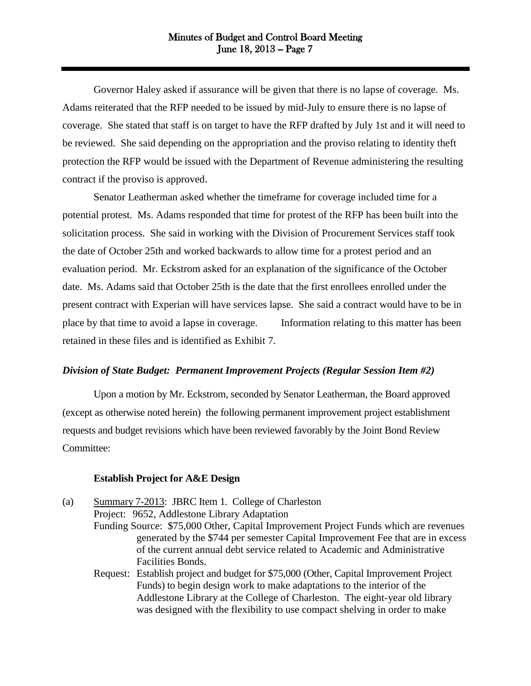Governor Haley asked if assurance will be given that there is no lapse of coverage. Ms. Adams reiterated that the RFP needed to be issued by mid-July to ensure there is no lapse of coverage. She stated that staff is on target to have the RFP drafted by July 1st and it will need to be reviewed. She said depending on the appropriation and the proviso relating to identity theft protection the RFP would be issued with the Department of Revenue administering the resulting contract if the proviso is approved.

Senator Leatherman asked whether the timeframe for coverage included time for a potential protest. Ms. Adams responded that time for protest of the RFP has been built into the solicitation process. She said in working with the Division of Procurement Services staff took the date of October 25th and worked backwards to allow time for a protest period and an evaluation period. Mr. Eckstrom asked for an explanation of the significance of the October date. Ms. Adams said that October 25th is the date that the first enrollees enrolled under the present contract with Experian will have services lapse. She said a contract would have to be in place by that time to avoid a lapse in coverage. Information relating to this matter has been retained in these files and is identified as Exhibit 7.

#### *Division of State Budget: Permanent Improvement Projects (Regular Session Item #2)*

Upon a motion by Mr. Eckstrom, seconded by Senator Leatherman, the Board approved (except as otherwise noted herein) the following permanent improvement project establishment requests and budget revisions which have been reviewed favorably by the Joint Bond Review Committee:

#### **Establish Project for A&E Design**

(a) Summary 7-2013: JBRC Item 1. College of Charleston Project: 9652, Addlestone Library Adaptation Funding Source: \$75,000 Other, Capital Improvement Project Funds which are revenues generated by the \$744 per semester Capital Improvement Fee that are in excess of the current annual debt service related to Academic and Administrative Facilities Bonds. Request: Establish project and budget for \$75,000 (Other, Capital Improvement Project Funds) to begin design work to make adaptations to the interior of the Addlestone Library at the College of Charleston. The eight-year old library was designed with the flexibility to use compact shelving in order to make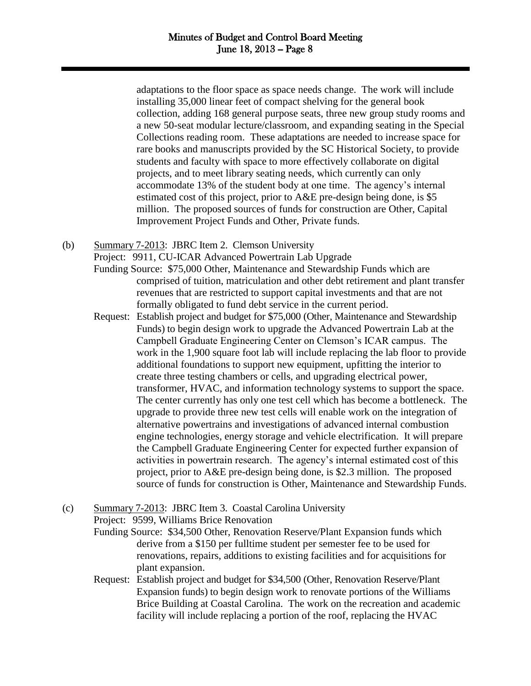adaptations to the floor space as space needs change. The work will include installing 35,000 linear feet of compact shelving for the general book collection, adding 168 general purpose seats, three new group study rooms and a new 50-seat modular lecture/classroom, and expanding seating in the Special Collections reading room. These adaptations are needed to increase space for rare books and manuscripts provided by the SC Historical Society, to provide students and faculty with space to more effectively collaborate on digital projects, and to meet library seating needs, which currently can only accommodate 13% of the student body at one time. The agency's internal estimated cost of this project, prior to A&E pre-design being done, is \$5 million. The proposed sources of funds for construction are Other, Capital Improvement Project Funds and Other, Private funds.

(b) Summary 7-2013: JBRC Item 2. Clemson University

Project: 9911, CU-ICAR Advanced Powertrain Lab Upgrade

- Funding Source: \$75,000 Other, Maintenance and Stewardship Funds which are comprised of tuition, matriculation and other debt retirement and plant transfer revenues that are restricted to support capital investments and that are not formally obligated to fund debt service in the current period.
- Request: Establish project and budget for \$75,000 (Other, Maintenance and Stewardship Funds) to begin design work to upgrade the Advanced Powertrain Lab at the Campbell Graduate Engineering Center on Clemson's ICAR campus. The work in the 1,900 square foot lab will include replacing the lab floor to provide additional foundations to support new equipment, upfitting the interior to create three testing chambers or cells, and upgrading electrical power, transformer, HVAC, and information technology systems to support the space. The center currently has only one test cell which has become a bottleneck. The upgrade to provide three new test cells will enable work on the integration of alternative powertrains and investigations of advanced internal combustion engine technologies, energy storage and vehicle electrification. It will prepare the Campbell Graduate Engineering Center for expected further expansion of activities in powertrain research. The agency's internal estimated cost of this project, prior to A&E pre-design being done, is \$2.3 million. The proposed source of funds for construction is Other, Maintenance and Stewardship Funds.
- (c) Summary 7-2013: JBRC Item 3. Coastal Carolina University

Project: 9599, Williams Brice Renovation

Funding Source: \$34,500 Other, Renovation Reserve/Plant Expansion funds which derive from a \$150 per fulltime student per semester fee to be used for renovations, repairs, additions to existing facilities and for acquisitions for plant expansion.

Request: Establish project and budget for \$34,500 (Other, Renovation Reserve/Plant Expansion funds) to begin design work to renovate portions of the Williams Brice Building at Coastal Carolina. The work on the recreation and academic facility will include replacing a portion of the roof, replacing the HVAC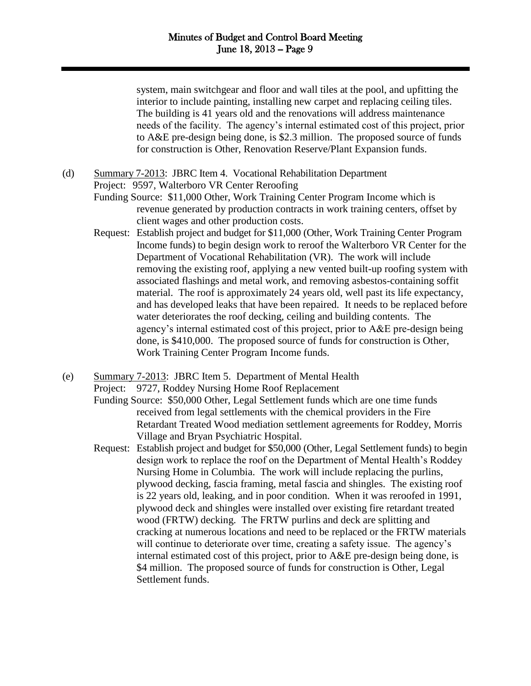system, main switchgear and floor and wall tiles at the pool, and upfitting the interior to include painting, installing new carpet and replacing ceiling tiles. The building is 41 years old and the renovations will address maintenance needs of the facility. The agency's internal estimated cost of this project, prior to A&E pre-design being done, is \$2.3 million. The proposed source of funds for construction is Other, Renovation Reserve/Plant Expansion funds.

(d) Summary 7-2013: JBRC Item 4. Vocational Rehabilitation Department

Project: 9597, Walterboro VR Center Reroofing

- Funding Source: \$11,000 Other, Work Training Center Program Income which is revenue generated by production contracts in work training centers, offset by client wages and other production costs.
- Request: Establish project and budget for \$11,000 (Other, Work Training Center Program Income funds) to begin design work to reroof the Walterboro VR Center for the Department of Vocational Rehabilitation (VR). The work will include removing the existing roof, applying a new vented built-up roofing system with associated flashings and metal work, and removing asbestos-containing soffit material. The roof is approximately 24 years old, well past its life expectancy, and has developed leaks that have been repaired. It needs to be replaced before water deteriorates the roof decking, ceiling and building contents. The agency's internal estimated cost of this project, prior to A&E pre-design being done, is \$410,000. The proposed source of funds for construction is Other, Work Training Center Program Income funds.
- (e) Summary 7-2013: JBRC Item 5. Department of Mental Health Project: 9727, Roddey Nursing Home Roof Replacement
	- Funding Source: \$50,000 Other, Legal Settlement funds which are one time funds received from legal settlements with the chemical providers in the Fire Retardant Treated Wood mediation settlement agreements for Roddey, Morris Village and Bryan Psychiatric Hospital.
	- Request: Establish project and budget for \$50,000 (Other, Legal Settlement funds) to begin design work to replace the roof on the Department of Mental Health's Roddey Nursing Home in Columbia. The work will include replacing the purlins, plywood decking, fascia framing, metal fascia and shingles. The existing roof is 22 years old, leaking, and in poor condition. When it was reroofed in 1991, plywood deck and shingles were installed over existing fire retardant treated wood (FRTW) decking. The FRTW purlins and deck are splitting and cracking at numerous locations and need to be replaced or the FRTW materials will continue to deteriorate over time, creating a safety issue. The agency's internal estimated cost of this project, prior to A&E pre-design being done, is \$4 million. The proposed source of funds for construction is Other, Legal Settlement funds.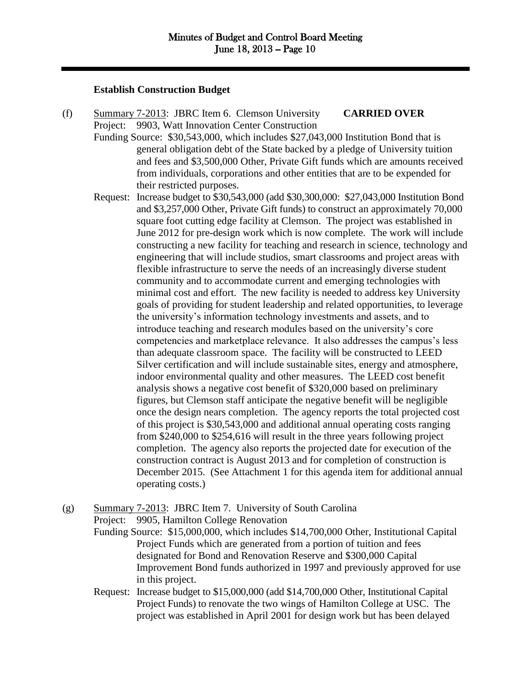## **Establish Construction Budget**

(f) Summary 7-2013: JBRC Item 6. Clemson University **CARRIED OVER** Project: 9903, Watt Innovation Center Construction Funding Source: \$30,543,000, which includes \$27,043,000 Institution Bond that is general obligation debt of the State backed by a pledge of University tuition and fees and \$3,500,000 Other, Private Gift funds which are amounts received

from individuals, corporations and other entities that are to be expended for

their restricted purposes. Request: Increase budget to \$30,543,000 (add \$30,300,000: \$27,043,000 Institution Bond and \$3,257,000 Other, Private Gift funds) to construct an approximately 70,000 square foot cutting edge facility at Clemson. The project was established in June 2012 for pre-design work which is now complete. The work will include constructing a new facility for teaching and research in science, technology and engineering that will include studios, smart classrooms and project areas with flexible infrastructure to serve the needs of an increasingly diverse student community and to accommodate current and emerging technologies with minimal cost and effort. The new facility is needed to address key University goals of providing for student leadership and related opportunities, to leverage the university's information technology investments and assets, and to introduce teaching and research modules based on the university's core competencies and marketplace relevance. It also addresses the campus's less than adequate classroom space. The facility will be constructed to LEED Silver certification and will include sustainable sites, energy and atmosphere, indoor environmental quality and other measures. The LEED cost benefit analysis shows a negative cost benefit of \$320,000 based on preliminary figures, but Clemson staff anticipate the negative benefit will be negligible once the design nears completion. The agency reports the total projected cost of this project is \$30,543,000 and additional annual operating costs ranging from \$240,000 to \$254,616 will result in the three years following project completion. The agency also reports the projected date for execution of the construction contract is August 2013 and for completion of construction is December 2015. (See Attachment 1 for this agenda item for additional annual operating costs.)

(g) Summary 7-2013: JBRC Item 7. University of South Carolina Project: 9905, Hamilton College Renovation

Funding Source: \$15,000,000, which includes \$14,700,000 Other, Institutional Capital Project Funds which are generated from a portion of tuition and fees designated for Bond and Renovation Reserve and \$300,000 Capital Improvement Bond funds authorized in 1997 and previously approved for use in this project.

Request: Increase budget to \$15,000,000 (add \$14,700,000 Other, Institutional Capital Project Funds) to renovate the two wings of Hamilton College at USC. The project was established in April 2001 for design work but has been delayed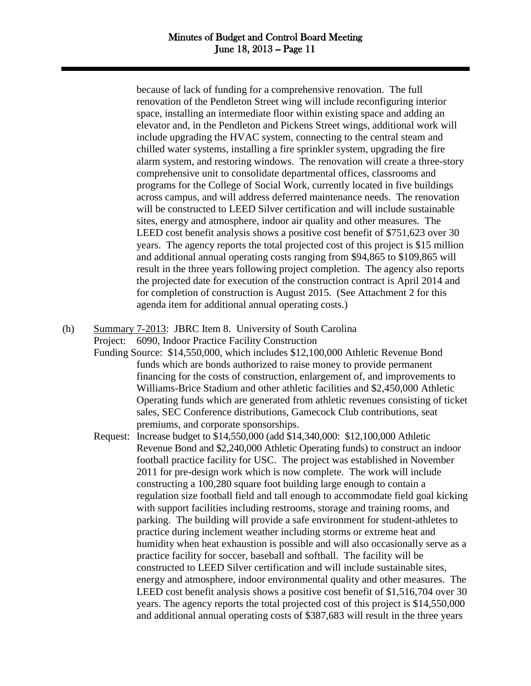because of lack of funding for a comprehensive renovation. The full renovation of the Pendleton Street wing will include reconfiguring interior space, installing an intermediate floor within existing space and adding an elevator and, in the Pendleton and Pickens Street wings, additional work will include upgrading the HVAC system, connecting to the central steam and chilled water systems, installing a fire sprinkler system, upgrading the fire alarm system, and restoring windows. The renovation will create a three-story comprehensive unit to consolidate departmental offices, classrooms and programs for the College of Social Work, currently located in five buildings across campus, and will address deferred maintenance needs. The renovation will be constructed to LEED Silver certification and will include sustainable sites, energy and atmosphere, indoor air quality and other measures. The LEED cost benefit analysis shows a positive cost benefit of \$751,623 over 30 years. The agency reports the total projected cost of this project is \$15 million and additional annual operating costs ranging from \$94,865 to \$109,865 will result in the three years following project completion. The agency also reports the projected date for execution of the construction contract is April 2014 and for completion of construction is August 2015. (See Attachment 2 for this agenda item for additional annual operating costs.)

(h) Summary 7-2013: JBRC Item 8. University of South Carolina Project: 6090, Indoor Practice Facility Construction

> Funding Source: \$14,550,000, which includes \$12,100,000 Athletic Revenue Bond funds which are bonds authorized to raise money to provide permanent financing for the costs of construction, enlargement of, and improvements to Williams-Brice Stadium and other athletic facilities and \$2,450,000 Athletic Operating funds which are generated from athletic revenues consisting of ticket sales, SEC Conference distributions, Gamecock Club contributions, seat premiums, and corporate sponsorships.

> Request: Increase budget to \$14,550,000 (add \$14,340,000: \$12,100,000 Athletic Revenue Bond and \$2,240,000 Athletic Operating funds) to construct an indoor football practice facility for USC. The project was established in November 2011 for pre-design work which is now complete. The work will include constructing a 100,280 square foot building large enough to contain a regulation size football field and tall enough to accommodate field goal kicking with support facilities including restrooms, storage and training rooms, and parking. The building will provide a safe environment for student-athletes to practice during inclement weather including storms or extreme heat and humidity when heat exhaustion is possible and will also occasionally serve as a practice facility for soccer, baseball and softball. The facility will be constructed to LEED Silver certification and will include sustainable sites, energy and atmosphere, indoor environmental quality and other measures. The LEED cost benefit analysis shows a positive cost benefit of \$1,516,704 over 30 years. The agency reports the total projected cost of this project is \$14,550,000 and additional annual operating costs of \$387,683 will result in the three years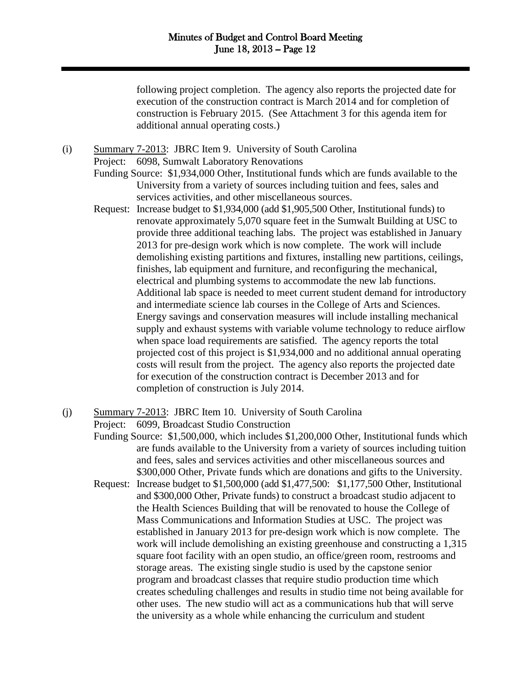following project completion. The agency also reports the projected date for execution of the construction contract is March 2014 and for completion of construction is February 2015. (See Attachment 3 for this agenda item for additional annual operating costs.)

(i) Summary 7-2013: JBRC Item 9. University of South Carolina

Project: 6098, Sumwalt Laboratory Renovations

- Funding Source: \$1,934,000 Other, Institutional funds which are funds available to the University from a variety of sources including tuition and fees, sales and services activities, and other miscellaneous sources.
- Request: Increase budget to \$1,934,000 (add \$1,905,500 Other, Institutional funds) to renovate approximately 5,070 square feet in the Sumwalt Building at USC to provide three additional teaching labs. The project was established in January 2013 for pre-design work which is now complete. The work will include demolishing existing partitions and fixtures, installing new partitions, ceilings, finishes, lab equipment and furniture, and reconfiguring the mechanical, electrical and plumbing systems to accommodate the new lab functions. Additional lab space is needed to meet current student demand for introductory and intermediate science lab courses in the College of Arts and Sciences. Energy savings and conservation measures will include installing mechanical supply and exhaust systems with variable volume technology to reduce airflow when space load requirements are satisfied. The agency reports the total projected cost of this project is \$1,934,000 and no additional annual operating costs will result from the project. The agency also reports the projected date for execution of the construction contract is December 2013 and for completion of construction is July 2014.
- (j) Summary 7-2013: JBRC Item 10. University of South Carolina Project: 6099, Broadcast Studio Construction

Funding Source: \$1,500,000, which includes \$1,200,000 Other, Institutional funds which are funds available to the University from a variety of sources including tuition and fees, sales and services activities and other miscellaneous sources and \$300,000 Other, Private funds which are donations and gifts to the University.

Request: Increase budget to \$1,500,000 (add \$1,477,500: \$1,177,500 Other, Institutional and \$300,000 Other, Private funds) to construct a broadcast studio adjacent to the Health Sciences Building that will be renovated to house the College of Mass Communications and Information Studies at USC. The project was established in January 2013 for pre-design work which is now complete. The work will include demolishing an existing greenhouse and constructing a 1,315 square foot facility with an open studio, an office/green room, restrooms and storage areas. The existing single studio is used by the capstone senior program and broadcast classes that require studio production time which creates scheduling challenges and results in studio time not being available for other uses. The new studio will act as a communications hub that will serve the university as a whole while enhancing the curriculum and student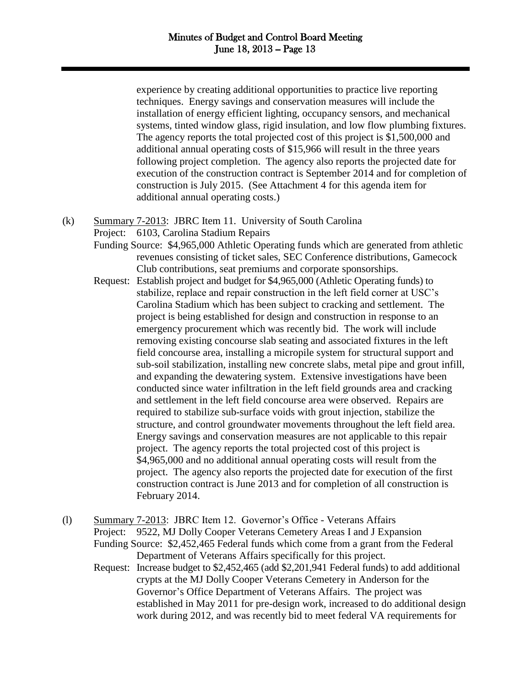experience by creating additional opportunities to practice live reporting techniques. Energy savings and conservation measures will include the installation of energy efficient lighting, occupancy sensors, and mechanical systems, tinted window glass, rigid insulation, and low flow plumbing fixtures. The agency reports the total projected cost of this project is \$1,500,000 and additional annual operating costs of \$15,966 will result in the three years following project completion. The agency also reports the projected date for execution of the construction contract is September 2014 and for completion of construction is July 2015. (See Attachment 4 for this agenda item for additional annual operating costs.)

- (k) Summary 7-2013: JBRC Item 11. University of South Carolina
	- Project: 6103, Carolina Stadium Repairs
		- Funding Source: \$4,965,000 Athletic Operating funds which are generated from athletic revenues consisting of ticket sales, SEC Conference distributions, Gamecock Club contributions, seat premiums and corporate sponsorships.
		- Request: Establish project and budget for \$4,965,000 (Athletic Operating funds) to stabilize, replace and repair construction in the left field corner at USC's Carolina Stadium which has been subject to cracking and settlement. The project is being established for design and construction in response to an emergency procurement which was recently bid. The work will include removing existing concourse slab seating and associated fixtures in the left field concourse area, installing a micropile system for structural support and sub-soil stabilization, installing new concrete slabs, metal pipe and grout infill, and expanding the dewatering system. Extensive investigations have been conducted since water infiltration in the left field grounds area and cracking and settlement in the left field concourse area were observed. Repairs are required to stabilize sub-surface voids with grout injection, stabilize the structure, and control groundwater movements throughout the left field area. Energy savings and conservation measures are not applicable to this repair project. The agency reports the total projected cost of this project is \$4,965,000 and no additional annual operating costs will result from the project. The agency also reports the projected date for execution of the first construction contract is June 2013 and for completion of all construction is February 2014.
- (l) Summary 7-2013: JBRC Item 12. Governor's Office Veterans Affairs Project: 9522, MJ Dolly Cooper Veterans Cemetery Areas I and J Expansion Funding Source: \$2,452,465 Federal funds which come from a grant from the Federal Department of Veterans Affairs specifically for this project. Request: Increase budget to \$2,452,465 (add \$2,201,941 Federal funds) to add additional crypts at the MJ Dolly Cooper Veterans Cemetery in Anderson for the Governor's Office Department of Veterans Affairs. The project was established in May 2011 for pre-design work, increased to do additional design work during 2012, and was recently bid to meet federal VA requirements for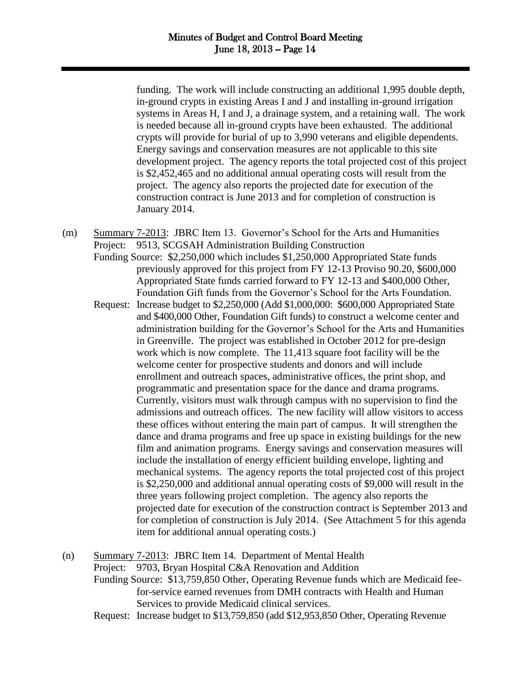funding. The work will include constructing an additional 1,995 double depth, in-ground crypts in existing Areas I and J and installing in-ground irrigation systems in Areas H, I and J, a drainage system, and a retaining wall. The work is needed because all in-ground crypts have been exhausted. The additional crypts will provide for burial of up to 3,990 veterans and eligible dependents. Energy savings and conservation measures are not applicable to this site development project. The agency reports the total projected cost of this project is \$2,452,465 and no additional annual operating costs will result from the project. The agency also reports the projected date for execution of the construction contract is June 2013 and for completion of construction is January 2014.

- (m) Summary 7-2013: JBRC Item 13. Governor's School for the Arts and Humanities Project: 9513, SCGSAH Administration Building Construction
	- Funding Source: \$2,250,000 which includes \$1,250,000 Appropriated State funds previously approved for this project from FY 12-13 Proviso 90.20, \$600,000 Appropriated State funds carried forward to FY 12-13 and \$400,000 Other, Foundation Gift funds from the Governor's School for the Arts Foundation.
	- Request: Increase budget to \$2,250,000 (Add \$1,000,000: \$600,000 Appropriated State and \$400,000 Other, Foundation Gift funds) to construct a welcome center and administration building for the Governor's School for the Arts and Humanities in Greenville. The project was established in October 2012 for pre-design work which is now complete. The 11,413 square foot facility will be the welcome center for prospective students and donors and will include enrollment and outreach spaces, administrative offices, the print shop, and programmatic and presentation space for the dance and drama programs. Currently, visitors must walk through campus with no supervision to find the admissions and outreach offices. The new facility will allow visitors to access these offices without entering the main part of campus. It will strengthen the dance and drama programs and free up space in existing buildings for the new film and animation programs. Energy savings and conservation measures will include the installation of energy efficient building envelope, lighting and mechanical systems. The agency reports the total projected cost of this project is \$2,250,000 and additional annual operating costs of \$9,000 will result in the three years following project completion. The agency also reports the projected date for execution of the construction contract is September 2013 and for completion of construction is July 2014. (See Attachment 5 for this agenda item for additional annual operating costs.)
- (n) Summary 7-2013: JBRC Item 14. Department of Mental Health Project: 9703, Bryan Hospital C&A Renovation and Addition
	- Funding Source: \$13,759,850 Other, Operating Revenue funds which are Medicaid feefor-service earned revenues from DMH contracts with Health and Human Services to provide Medicaid clinical services.
	- Request: Increase budget to \$13,759,850 (add \$12,953,850 Other, Operating Revenue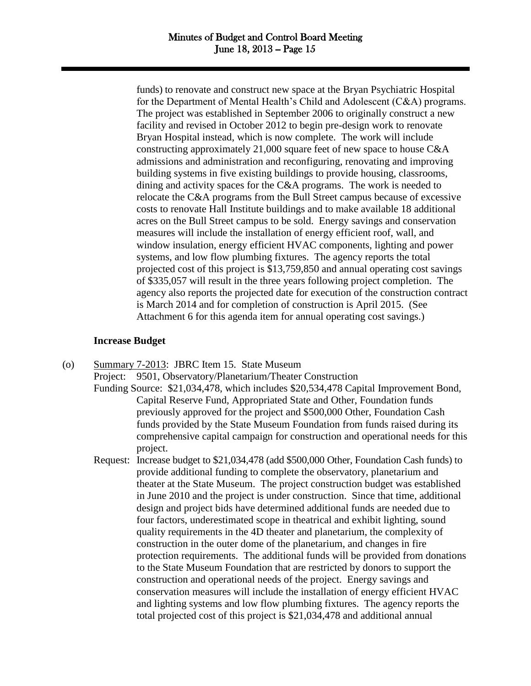funds) to renovate and construct new space at the Bryan Psychiatric Hospital for the Department of Mental Health's Child and Adolescent (C&A) programs. The project was established in September 2006 to originally construct a new facility and revised in October 2012 to begin pre-design work to renovate Bryan Hospital instead, which is now complete. The work will include constructing approximately 21,000 square feet of new space to house C&A admissions and administration and reconfiguring, renovating and improving building systems in five existing buildings to provide housing, classrooms, dining and activity spaces for the C&A programs. The work is needed to relocate the C&A programs from the Bull Street campus because of excessive costs to renovate Hall Institute buildings and to make available 18 additional acres on the Bull Street campus to be sold. Energy savings and conservation measures will include the installation of energy efficient roof, wall, and window insulation, energy efficient HVAC components, lighting and power systems, and low flow plumbing fixtures. The agency reports the total projected cost of this project is \$13,759,850 and annual operating cost savings of \$335,057 will result in the three years following project completion. The agency also reports the projected date for execution of the construction contract is March 2014 and for completion of construction is April 2015. (See Attachment 6 for this agenda item for annual operating cost savings.)

## **Increase Budget**

(o) Summary 7-2013: JBRC Item 15. State Museum

Project: 9501, Observatory/Planetarium/Theater Construction

- Funding Source: \$21,034,478, which includes \$20,534,478 Capital Improvement Bond, Capital Reserve Fund, Appropriated State and Other, Foundation funds previously approved for the project and \$500,000 Other, Foundation Cash funds provided by the State Museum Foundation from funds raised during its comprehensive capital campaign for construction and operational needs for this project.
- Request: Increase budget to \$21,034,478 (add \$500,000 Other, Foundation Cash funds) to provide additional funding to complete the observatory, planetarium and theater at the State Museum. The project construction budget was established in June 2010 and the project is under construction. Since that time, additional design and project bids have determined additional funds are needed due to four factors, underestimated scope in theatrical and exhibit lighting, sound quality requirements in the 4D theater and planetarium, the complexity of construction in the outer dome of the planetarium, and changes in fire protection requirements. The additional funds will be provided from donations to the State Museum Foundation that are restricted by donors to support the construction and operational needs of the project. Energy savings and conservation measures will include the installation of energy efficient HVAC and lighting systems and low flow plumbing fixtures. The agency reports the total projected cost of this project is \$21,034,478 and additional annual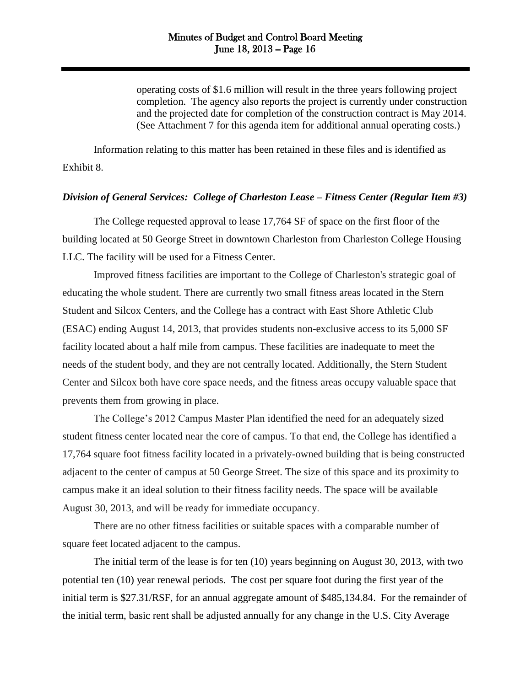operating costs of \$1.6 million will result in the three years following project completion. The agency also reports the project is currently under construction and the projected date for completion of the construction contract is May 2014. (See Attachment 7 for this agenda item for additional annual operating costs.)

Information relating to this matter has been retained in these files and is identified as Exhibit 8.

#### *Division of General Services: College of Charleston Lease – Fitness Center (Regular Item #3)*

The College requested approval to lease 17,764 SF of space on the first floor of the building located at 50 George Street in downtown Charleston from Charleston College Housing LLC. The facility will be used for a Fitness Center.

Improved fitness facilities are important to the College of Charleston's strategic goal of educating the whole student. There are currently two small fitness areas located in the Stern Student and Silcox Centers, and the College has a contract with East Shore Athletic Club (ESAC) ending August 14, 2013, that provides students non-exclusive access to its 5,000 SF facility located about a half mile from campus. These facilities are inadequate to meet the needs of the student body, and they are not centrally located. Additionally, the Stern Student Center and Silcox both have core space needs, and the fitness areas occupy valuable space that prevents them from growing in place.

The College's 2012 Campus Master Plan identified the need for an adequately sized student fitness center located near the core of campus. To that end, the College has identified a 17,764 square foot fitness facility located in a privately-owned building that is being constructed adjacent to the center of campus at 50 George Street. The size of this space and its proximity to campus make it an ideal solution to their fitness facility needs. The space will be available August 30, 2013, and will be ready for immediate occupancy.

There are no other fitness facilities or suitable spaces with a comparable number of square feet located adjacent to the campus.

The initial term of the lease is for ten (10) years beginning on August 30, 2013, with two potential ten (10) year renewal periods. The cost per square foot during the first year of the initial term is \$27.31/RSF, for an annual aggregate amount of \$485,134.84. For the remainder of the initial term, basic rent shall be adjusted annually for any change in the U.S. City Average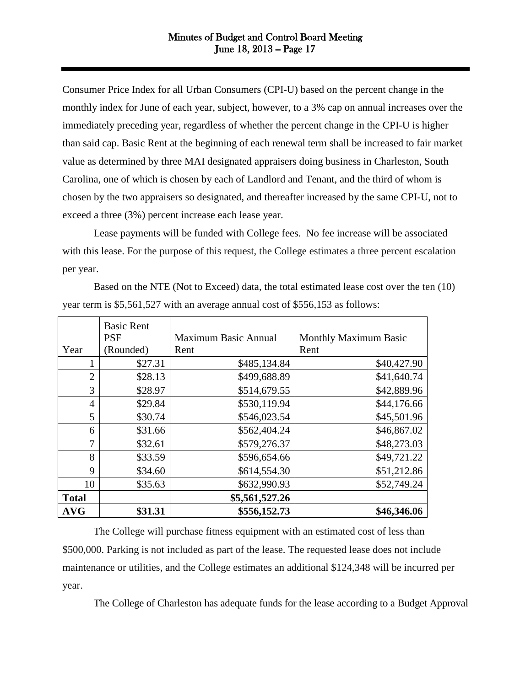Consumer Price Index for all Urban Consumers (CPI-U) based on the percent change in the monthly index for June of each year, subject, however, to a 3% cap on annual increases over the immediately preceding year, regardless of whether the percent change in the CPI-U is higher than said cap. Basic Rent at the beginning of each renewal term shall be increased to fair market value as determined by three MAI designated appraisers doing business in Charleston, South Carolina, one of which is chosen by each of Landlord and Tenant, and the third of whom is chosen by the two appraisers so designated, and thereafter increased by the same CPI-U, not to exceed a three (3%) percent increase each lease year.

Lease payments will be funded with College fees. No fee increase will be associated with this lease. For the purpose of this request, the College estimates a three percent escalation per year.

Based on the NTE (Not to Exceed) data, the total estimated lease cost over the ten (10) year term is \$5,561,527 with an average annual cost of \$556,153 as follows:

|                | <b>Basic Rent</b> |                      |                              |
|----------------|-------------------|----------------------|------------------------------|
|                | <b>PSF</b>        | Maximum Basic Annual | <b>Monthly Maximum Basic</b> |
| Year           | (Rounded)         | Rent                 | Rent                         |
| 1              | \$27.31           | \$485,134.84         | \$40,427.90                  |
| $\overline{2}$ | \$28.13           | \$499,688.89         | \$41,640.74                  |
| 3              | \$28.97           | \$514,679.55         | \$42,889.96                  |
| $\overline{4}$ | \$29.84           | \$530,119.94         | \$44,176.66                  |
| 5              | \$30.74           | \$546,023.54         | \$45,501.96                  |
| 6              | \$31.66           | \$562,404.24         | \$46,867.02                  |
| 7              | \$32.61           | \$579,276.37         | \$48,273.03                  |
| 8              | \$33.59           | \$596,654.66         | \$49,721.22                  |
| 9              | \$34.60           | \$614,554.30         | \$51,212.86                  |
| 10             | \$35.63           | \$632,990.93         | \$52,749.24                  |
| <b>Total</b>   |                   | \$5,561,527.26       |                              |
| <b>AVG</b>     | \$31.31           | \$556,152.73         | \$46,346.06                  |

The College will purchase fitness equipment with an estimated cost of less than \$500,000. Parking is not included as part of the lease. The requested lease does not include maintenance or utilities, and the College estimates an additional \$124,348 will be incurred per year.

The College of Charleston has adequate funds for the lease according to a Budget Approval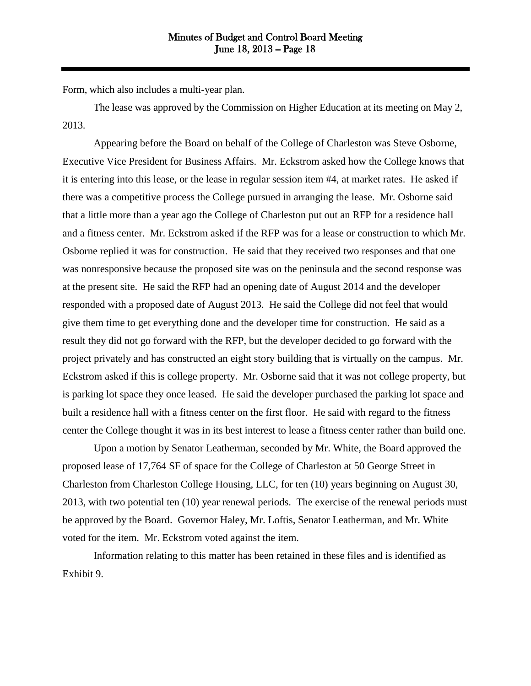Form, which also includes a multi-year plan.

The lease was approved by the Commission on Higher Education at its meeting on May 2, 2013.

Appearing before the Board on behalf of the College of Charleston was Steve Osborne, Executive Vice President for Business Affairs. Mr. Eckstrom asked how the College knows that it is entering into this lease, or the lease in regular session item #4, at market rates. He asked if there was a competitive process the College pursued in arranging the lease. Mr. Osborne said that a little more than a year ago the College of Charleston put out an RFP for a residence hall and a fitness center. Mr. Eckstrom asked if the RFP was for a lease or construction to which Mr. Osborne replied it was for construction. He said that they received two responses and that one was nonresponsive because the proposed site was on the peninsula and the second response was at the present site. He said the RFP had an opening date of August 2014 and the developer responded with a proposed date of August 2013. He said the College did not feel that would give them time to get everything done and the developer time for construction. He said as a result they did not go forward with the RFP, but the developer decided to go forward with the project privately and has constructed an eight story building that is virtually on the campus. Mr. Eckstrom asked if this is college property. Mr. Osborne said that it was not college property, but is parking lot space they once leased. He said the developer purchased the parking lot space and built a residence hall with a fitness center on the first floor. He said with regard to the fitness center the College thought it was in its best interest to lease a fitness center rather than build one.

Upon a motion by Senator Leatherman, seconded by Mr. White, the Board approved the proposed lease of 17,764 SF of space for the College of Charleston at 50 George Street in Charleston from Charleston College Housing, LLC, for ten (10) years beginning on August 30, 2013, with two potential ten (10) year renewal periods. The exercise of the renewal periods must be approved by the Board. Governor Haley, Mr. Loftis, Senator Leatherman, and Mr. White voted for the item. Mr. Eckstrom voted against the item.

Information relating to this matter has been retained in these files and is identified as Exhibit 9.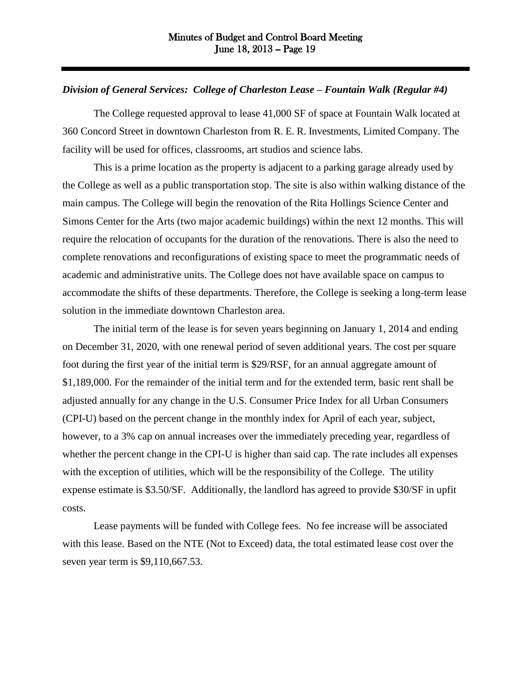### *Division of General Services: College of Charleston Lease – Fountain Walk (Regular #4)*

The College requested approval to lease 41,000 SF of space at Fountain Walk located at 360 Concord Street in downtown Charleston from R. E. R. Investments, Limited Company. The facility will be used for offices, classrooms, art studios and science labs.

This is a prime location as the property is adjacent to a parking garage already used by the College as well as a public transportation stop. The site is also within walking distance of the main campus. The College will begin the renovation of the Rita Hollings Science Center and Simons Center for the Arts (two major academic buildings) within the next 12 months. This will require the relocation of occupants for the duration of the renovations. There is also the need to complete renovations and reconfigurations of existing space to meet the programmatic needs of academic and administrative units. The College does not have available space on campus to accommodate the shifts of these departments. Therefore, the College is seeking a long-term lease solution in the immediate downtown Charleston area.

The initial term of the lease is for seven years beginning on January 1, 2014 and ending on December 31, 2020, with one renewal period of seven additional years. The cost per square foot during the first year of the initial term is \$29/RSF, for an annual aggregate amount of \$1,189,000. For the remainder of the initial term and for the extended term, basic rent shall be adjusted annually for any change in the U.S. Consumer Price Index for all Urban Consumers (CPI-U) based on the percent change in the monthly index for April of each year, subject, however, to a 3% cap on annual increases over the immediately preceding year, regardless of whether the percent change in the CPI-U is higher than said cap. The rate includes all expenses with the exception of utilities, which will be the responsibility of the College. The utility expense estimate is \$3.50/SF. Additionally, the landlord has agreed to provide \$30/SF in upfit costs.

Lease payments will be funded with College fees. No fee increase will be associated with this lease. Based on the NTE (Not to Exceed) data, the total estimated lease cost over the seven year term is \$9,110,667.53.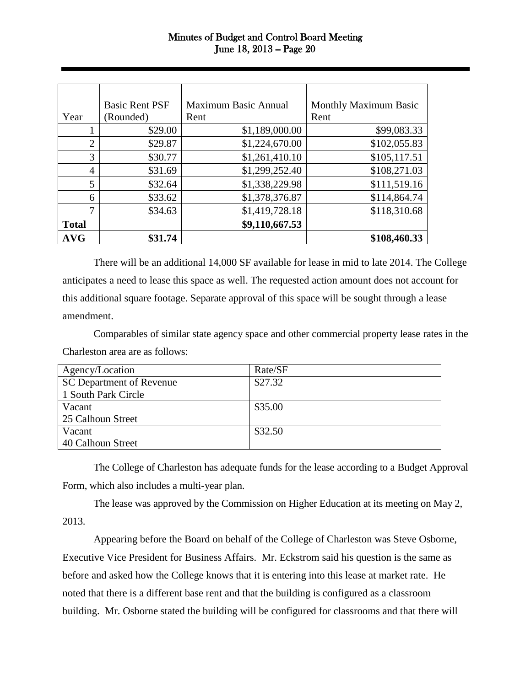|                | <b>Basic Rent PSF</b> | <b>Maximum Basic Annual</b> | <b>Monthly Maximum Basic</b> |
|----------------|-----------------------|-----------------------------|------------------------------|
| Year           | (Rounded)             | Rent                        | Rent                         |
|                | \$29.00               | \$1,189,000.00              | \$99,083.33                  |
| $\overline{2}$ | \$29.87               | \$1,224,670.00              | \$102,055.83                 |
| 3              | \$30.77               | \$1,261,410.10              | \$105,117.51                 |
| $\overline{4}$ | \$31.69               | \$1,299,252.40              | \$108,271.03                 |
| 5              | \$32.64               | \$1,338,229.98              | \$111,519.16                 |
| 6              | \$33.62               | \$1,378,376.87              | \$114,864.74                 |
| 7              | \$34.63               | \$1,419,728.18              | \$118,310.68                 |
| <b>Total</b>   |                       | \$9,110,667.53              |                              |
| <b>AVG</b>     | \$31.74               |                             | \$108,460.33                 |

There will be an additional 14,000 SF available for lease in mid to late 2014. The College anticipates a need to lease this space as well. The requested action amount does not account for this additional square footage. Separate approval of this space will be sought through a lease amendment.

Comparables of similar state agency space and other commercial property lease rates in the Charleston area are as follows:

| Agency/Location          | Rate/SF |
|--------------------------|---------|
| SC Department of Revenue | \$27.32 |
| 1 South Park Circle      |         |
| Vacant                   | \$35.00 |
| 25 Calhoun Street        |         |
| Vacant                   | \$32.50 |
| 40 Calhoun Street        |         |

The College of Charleston has adequate funds for the lease according to a Budget Approval Form, which also includes a multi-year plan.

The lease was approved by the Commission on Higher Education at its meeting on May 2, 2013.

Appearing before the Board on behalf of the College of Charleston was Steve Osborne, Executive Vice President for Business Affairs. Mr. Eckstrom said his question is the same as before and asked how the College knows that it is entering into this lease at market rate. He noted that there is a different base rent and that the building is configured as a classroom building. Mr. Osborne stated the building will be configured for classrooms and that there will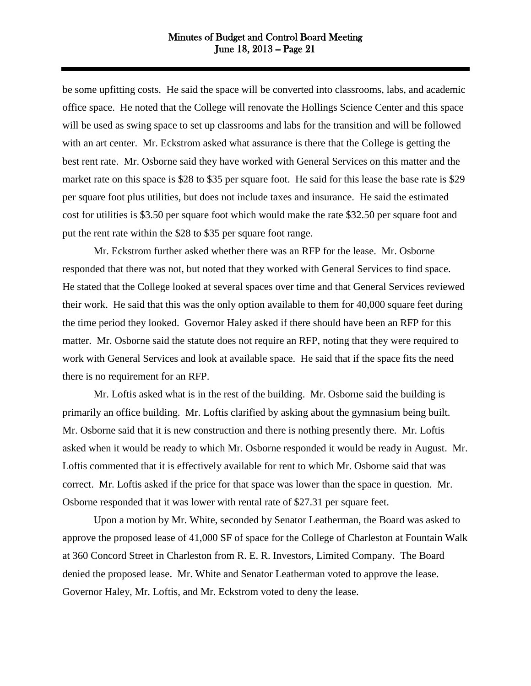be some upfitting costs. He said the space will be converted into classrooms, labs, and academic office space. He noted that the College will renovate the Hollings Science Center and this space will be used as swing space to set up classrooms and labs for the transition and will be followed with an art center. Mr. Eckstrom asked what assurance is there that the College is getting the best rent rate. Mr. Osborne said they have worked with General Services on this matter and the market rate on this space is \$28 to \$35 per square foot. He said for this lease the base rate is \$29 per square foot plus utilities, but does not include taxes and insurance. He said the estimated cost for utilities is \$3.50 per square foot which would make the rate \$32.50 per square foot and put the rent rate within the \$28 to \$35 per square foot range.

Mr. Eckstrom further asked whether there was an RFP for the lease. Mr. Osborne responded that there was not, but noted that they worked with General Services to find space. He stated that the College looked at several spaces over time and that General Services reviewed their work. He said that this was the only option available to them for 40,000 square feet during the time period they looked. Governor Haley asked if there should have been an RFP for this matter. Mr. Osborne said the statute does not require an RFP, noting that they were required to work with General Services and look at available space. He said that if the space fits the need there is no requirement for an RFP.

Mr. Loftis asked what is in the rest of the building. Mr. Osborne said the building is primarily an office building. Mr. Loftis clarified by asking about the gymnasium being built. Mr. Osborne said that it is new construction and there is nothing presently there. Mr. Loftis asked when it would be ready to which Mr. Osborne responded it would be ready in August. Mr. Loftis commented that it is effectively available for rent to which Mr. Osborne said that was correct. Mr. Loftis asked if the price for that space was lower than the space in question. Mr. Osborne responded that it was lower with rental rate of \$27.31 per square feet.

Upon a motion by Mr. White, seconded by Senator Leatherman, the Board was asked to approve the proposed lease of 41,000 SF of space for the College of Charleston at Fountain Walk at 360 Concord Street in Charleston from R. E. R. Investors, Limited Company. The Board denied the proposed lease. Mr. White and Senator Leatherman voted to approve the lease. Governor Haley, Mr. Loftis, and Mr. Eckstrom voted to deny the lease.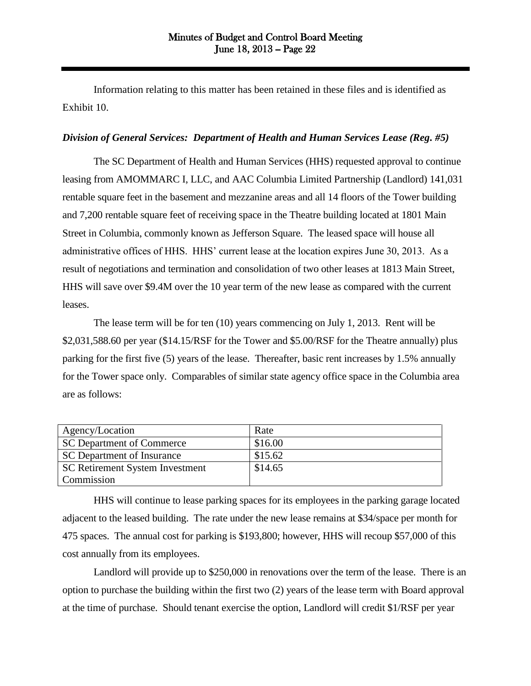Information relating to this matter has been retained in these files and is identified as Exhibit 10.

### *Division of General Services: Department of Health and Human Services Lease (Reg. #5)*

The SC Department of Health and Human Services (HHS) requested approval to continue leasing from AMOMMARC I, LLC, and AAC Columbia Limited Partnership (Landlord) 141,031 rentable square feet in the basement and mezzanine areas and all 14 floors of the Tower building and 7,200 rentable square feet of receiving space in the Theatre building located at 1801 Main Street in Columbia, commonly known as Jefferson Square. The leased space will house all administrative offices of HHS. HHS' current lease at the location expires June 30, 2013. As a result of negotiations and termination and consolidation of two other leases at 1813 Main Street, HHS will save over \$9.4M over the 10 year term of the new lease as compared with the current leases.

The lease term will be for ten (10) years commencing on July 1, 2013. Rent will be \$2,031,588.60 per year (\$14.15/RSF for the Tower and \$5.00/RSF for the Theatre annually) plus parking for the first five (5) years of the lease. Thereafter, basic rent increases by 1.5% annually for the Tower space only. Comparables of similar state agency office space in the Columbia area are as follows:

| Agency/Location                 | Rate    |
|---------------------------------|---------|
| SC Department of Commerce       | \$16.00 |
| SC Department of Insurance      | \$15.62 |
| SC Retirement System Investment | \$14.65 |
| Commission                      |         |
|                                 |         |

HHS will continue to lease parking spaces for its employees in the parking garage located adjacent to the leased building. The rate under the new lease remains at \$34/space per month for 475 spaces. The annual cost for parking is \$193,800; however, HHS will recoup \$57,000 of this cost annually from its employees.

Landlord will provide up to \$250,000 in renovations over the term of the lease. There is an option to purchase the building within the first two (2) years of the lease term with Board approval at the time of purchase. Should tenant exercise the option, Landlord will credit \$1/RSF per year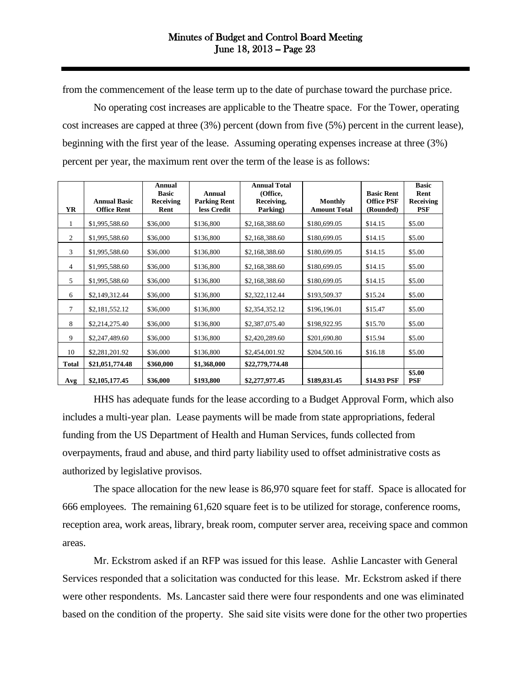from the commencement of the lease term up to the date of purchase toward the purchase price.

 No operating cost increases are applicable to the Theatre space. For the Tower, operating cost increases are capped at three (3%) percent (down from five (5%) percent in the current lease), beginning with the first year of the lease. Assuming operating expenses increase at three (3%) percent per year, the maximum rent over the term of the lease is as follows:

| <b>YR</b>      | <b>Annual Basic</b><br><b>Office Rent</b> | Annual<br><b>Basic</b><br>Receiving<br>Rent | Annual<br><b>Parking Rent</b><br>less Credit | <b>Annual Total</b><br>(Office,<br>Receiving,<br>Parking) | <b>Monthly</b><br><b>Amount Total</b> | <b>Basic Rent</b><br><b>Office PSF</b><br>(Rounded) | <b>Basic</b><br>Rent<br>Receiving<br><b>PSF</b> |
|----------------|-------------------------------------------|---------------------------------------------|----------------------------------------------|-----------------------------------------------------------|---------------------------------------|-----------------------------------------------------|-------------------------------------------------|
| 1              | \$1,995,588.60                            | \$36,000                                    | \$136,800                                    | \$2,168,388.60                                            | \$180,699.05                          | \$14.15                                             | \$5.00                                          |
| 2              | \$1,995,588.60                            | \$36,000                                    | \$136,800                                    | \$2,168,388.60                                            | \$180,699.05                          | \$14.15                                             | \$5.00                                          |
| 3              | \$1,995,588.60                            | \$36,000                                    | \$136,800                                    | \$2,168,388.60                                            | \$180,699.05                          | \$14.15                                             | \$5.00                                          |
| $\overline{4}$ | \$1,995,588.60                            | \$36,000                                    | \$136,800                                    | \$2,168,388.60                                            | \$180,699.05                          | \$14.15                                             | \$5.00                                          |
| 5              | \$1,995,588.60                            | \$36,000                                    | \$136,800                                    | \$2,168,388.60                                            | \$180,699.05                          | \$14.15                                             | \$5.00                                          |
| 6              | \$2,149,312.44                            | \$36,000                                    | \$136,800                                    | \$2,322,112.44                                            | \$193,509.37                          | \$15.24                                             | \$5.00                                          |
| 7              | \$2,181,552.12                            | \$36,000                                    | \$136,800                                    | \$2,354,352.12                                            | \$196,196.01                          | \$15.47                                             | \$5.00                                          |
| 8              | \$2,214,275.40                            | \$36,000                                    | \$136,800                                    | \$2,387,075.40                                            | \$198,922.95                          | \$15.70                                             | \$5.00                                          |
| 9              | \$2,247,489.60                            | \$36,000                                    | \$136,800                                    | \$2,420,289.60                                            | \$201,690.80                          | \$15.94                                             | \$5.00                                          |
| 10             | \$2,281,201.92                            | \$36,000                                    | \$136,800                                    | \$2,454,001.92                                            | \$204,500.16                          | \$16.18                                             | \$5.00                                          |
| <b>Total</b>   | \$21,051,774.48                           | \$360,000                                   | \$1,368,000                                  | \$22,779,774.48                                           |                                       |                                                     |                                                 |
| Avg            | \$2,105,177.45                            | \$36,000                                    | \$193,800                                    | \$2,277,977.45                                            | \$189,831.45                          | \$14.93 PSF                                         | \$5.00<br><b>PSF</b>                            |

HHS has adequate funds for the lease according to a Budget Approval Form, which also includes a multi-year plan. Lease payments will be made from state appropriations, federal funding from the US Department of Health and Human Services, funds collected from overpayments, fraud and abuse, and third party liability used to offset administrative costs as authorized by legislative provisos.

The space allocation for the new lease is 86,970 square feet for staff. Space is allocated for 666 employees. The remaining 61,620 square feet is to be utilized for storage, conference rooms, reception area, work areas, library, break room, computer server area, receiving space and common areas.

Mr. Eckstrom asked if an RFP was issued for this lease. Ashlie Lancaster with General Services responded that a solicitation was conducted for this lease. Mr. Eckstrom asked if there were other respondents. Ms. Lancaster said there were four respondents and one was eliminated based on the condition of the property. She said site visits were done for the other two properties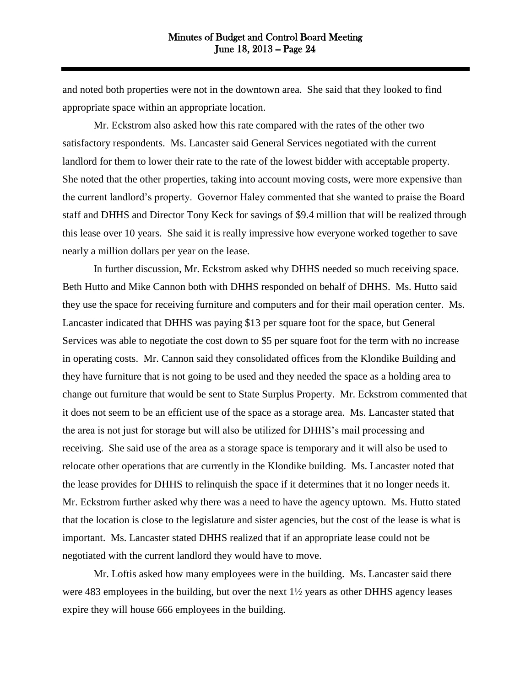and noted both properties were not in the downtown area. She said that they looked to find appropriate space within an appropriate location.

Mr. Eckstrom also asked how this rate compared with the rates of the other two satisfactory respondents. Ms. Lancaster said General Services negotiated with the current landlord for them to lower their rate to the rate of the lowest bidder with acceptable property. She noted that the other properties, taking into account moving costs, were more expensive than the current landlord's property. Governor Haley commented that she wanted to praise the Board staff and DHHS and Director Tony Keck for savings of \$9.4 million that will be realized through this lease over 10 years. She said it is really impressive how everyone worked together to save nearly a million dollars per year on the lease.

In further discussion, Mr. Eckstrom asked why DHHS needed so much receiving space. Beth Hutto and Mike Cannon both with DHHS responded on behalf of DHHS. Ms. Hutto said they use the space for receiving furniture and computers and for their mail operation center. Ms. Lancaster indicated that DHHS was paying \$13 per square foot for the space, but General Services was able to negotiate the cost down to \$5 per square foot for the term with no increase in operating costs. Mr. Cannon said they consolidated offices from the Klondike Building and they have furniture that is not going to be used and they needed the space as a holding area to change out furniture that would be sent to State Surplus Property. Mr. Eckstrom commented that it does not seem to be an efficient use of the space as a storage area. Ms. Lancaster stated that the area is not just for storage but will also be utilized for DHHS's mail processing and receiving. She said use of the area as a storage space is temporary and it will also be used to relocate other operations that are currently in the Klondike building. Ms. Lancaster noted that the lease provides for DHHS to relinquish the space if it determines that it no longer needs it. Mr. Eckstrom further asked why there was a need to have the agency uptown. Ms. Hutto stated that the location is close to the legislature and sister agencies, but the cost of the lease is what is important. Ms. Lancaster stated DHHS realized that if an appropriate lease could not be negotiated with the current landlord they would have to move.

Mr. Loftis asked how many employees were in the building. Ms. Lancaster said there were 483 employees in the building, but over the next 1½ years as other DHHS agency leases expire they will house 666 employees in the building.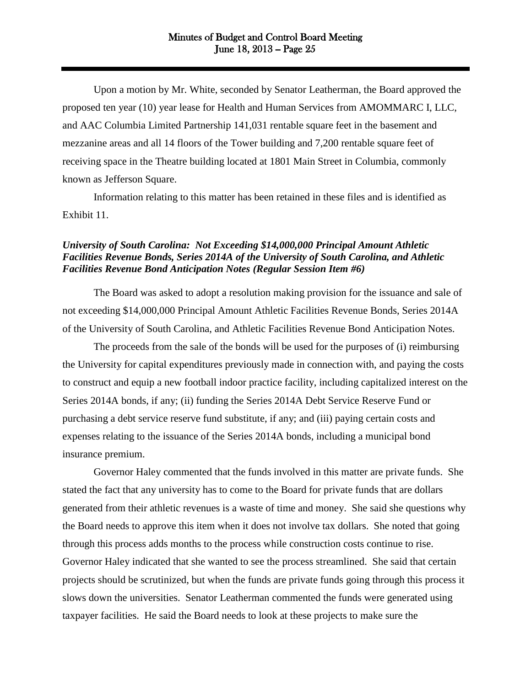Upon a motion by Mr. White, seconded by Senator Leatherman, the Board approved the proposed ten year (10) year lease for Health and Human Services from AMOMMARC I, LLC, and AAC Columbia Limited Partnership 141,031 rentable square feet in the basement and mezzanine areas and all 14 floors of the Tower building and 7,200 rentable square feet of receiving space in the Theatre building located at 1801 Main Street in Columbia, commonly known as Jefferson Square.

Information relating to this matter has been retained in these files and is identified as Exhibit 11.

## *University of South Carolina: Not Exceeding \$14,000,000 Principal Amount Athletic Facilities Revenue Bonds, Series 2014A of the University of South Carolina, and Athletic Facilities Revenue Bond Anticipation Notes (Regular Session Item #6)*

The Board was asked to adopt a resolution making provision for the issuance and sale of not exceeding \$14,000,000 Principal Amount Athletic Facilities Revenue Bonds, Series 2014A of the University of South Carolina, and Athletic Facilities Revenue Bond Anticipation Notes.

The proceeds from the sale of the bonds will be used for the purposes of (i) reimbursing the University for capital expenditures previously made in connection with, and paying the costs to construct and equip a new football indoor practice facility, including capitalized interest on the Series 2014A bonds, if any; (ii) funding the Series 2014A Debt Service Reserve Fund or purchasing a debt service reserve fund substitute, if any; and (iii) paying certain costs and expenses relating to the issuance of the Series 2014A bonds, including a municipal bond insurance premium.

Governor Haley commented that the funds involved in this matter are private funds. She stated the fact that any university has to come to the Board for private funds that are dollars generated from their athletic revenues is a waste of time and money. She said she questions why the Board needs to approve this item when it does not involve tax dollars. She noted that going through this process adds months to the process while construction costs continue to rise. Governor Haley indicated that she wanted to see the process streamlined. She said that certain projects should be scrutinized, but when the funds are private funds going through this process it slows down the universities. Senator Leatherman commented the funds were generated using taxpayer facilities. He said the Board needs to look at these projects to make sure the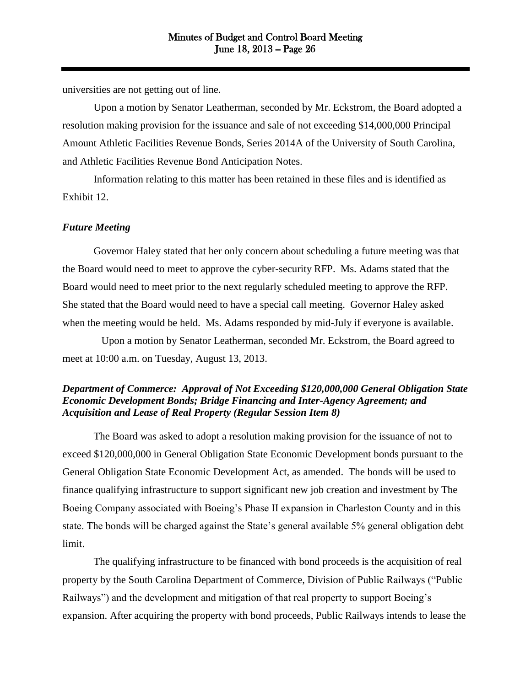universities are not getting out of line.

Upon a motion by Senator Leatherman, seconded by Mr. Eckstrom, the Board adopted a resolution making provision for the issuance and sale of not exceeding \$14,000,000 Principal Amount Athletic Facilities Revenue Bonds, Series 2014A of the University of South Carolina, and Athletic Facilities Revenue Bond Anticipation Notes.

Information relating to this matter has been retained in these files and is identified as Exhibit 12.

## *Future Meeting*

Governor Haley stated that her only concern about scheduling a future meeting was that the Board would need to meet to approve the cyber-security RFP. Ms. Adams stated that the Board would need to meet prior to the next regularly scheduled meeting to approve the RFP. She stated that the Board would need to have a special call meeting. Governor Haley asked when the meeting would be held. Ms. Adams responded by mid-July if everyone is available.

Upon a motion by Senator Leatherman, seconded Mr. Eckstrom, the Board agreed to meet at 10:00 a.m. on Tuesday, August 13, 2013.

# *Department of Commerce: Approval of Not Exceeding \$120,000,000 General Obligation State Economic Development Bonds; Bridge Financing and Inter-Agency Agreement; and Acquisition and Lease of Real Property (Regular Session Item 8)*

The Board was asked to adopt a resolution making provision for the issuance of not to exceed \$120,000,000 in General Obligation State Economic Development bonds pursuant to the General Obligation State Economic Development Act, as amended. The bonds will be used to finance qualifying infrastructure to support significant new job creation and investment by The Boeing Company associated with Boeing's Phase II expansion in Charleston County and in this state. The bonds will be charged against the State's general available 5% general obligation debt limit.

The qualifying infrastructure to be financed with bond proceeds is the acquisition of real property by the South Carolina Department of Commerce, Division of Public Railways ("Public Railways") and the development and mitigation of that real property to support Boeing's expansion. After acquiring the property with bond proceeds, Public Railways intends to lease the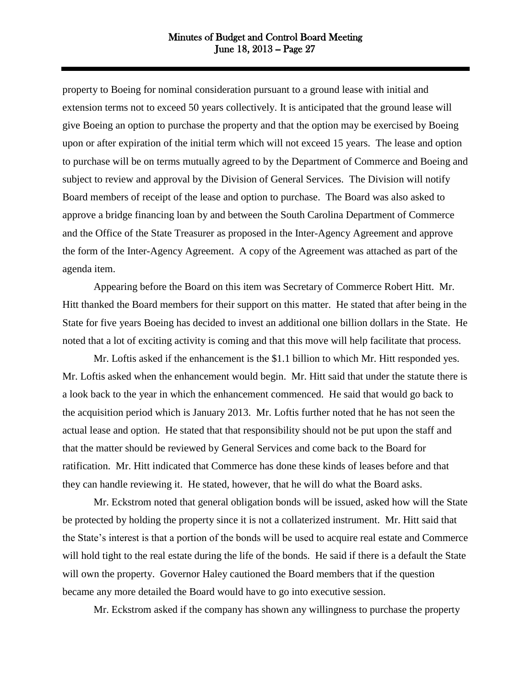property to Boeing for nominal consideration pursuant to a ground lease with initial and extension terms not to exceed 50 years collectively. It is anticipated that the ground lease will give Boeing an option to purchase the property and that the option may be exercised by Boeing upon or after expiration of the initial term which will not exceed 15 years. The lease and option to purchase will be on terms mutually agreed to by the Department of Commerce and Boeing and subject to review and approval by the Division of General Services. The Division will notify Board members of receipt of the lease and option to purchase. The Board was also asked to approve a bridge financing loan by and between the South Carolina Department of Commerce and the Office of the State Treasurer as proposed in the Inter-Agency Agreement and approve the form of the Inter-Agency Agreement. A copy of the Agreement was attached as part of the agenda item.

Appearing before the Board on this item was Secretary of Commerce Robert Hitt. Mr. Hitt thanked the Board members for their support on this matter. He stated that after being in the State for five years Boeing has decided to invest an additional one billion dollars in the State. He noted that a lot of exciting activity is coming and that this move will help facilitate that process.

Mr. Loftis asked if the enhancement is the \$1.1 billion to which Mr. Hitt responded yes. Mr. Loftis asked when the enhancement would begin. Mr. Hitt said that under the statute there is a look back to the year in which the enhancement commenced. He said that would go back to the acquisition period which is January 2013. Mr. Loftis further noted that he has not seen the actual lease and option. He stated that that responsibility should not be put upon the staff and that the matter should be reviewed by General Services and come back to the Board for ratification. Mr. Hitt indicated that Commerce has done these kinds of leases before and that they can handle reviewing it. He stated, however, that he will do what the Board asks.

Mr. Eckstrom noted that general obligation bonds will be issued, asked how will the State be protected by holding the property since it is not a collaterized instrument. Mr. Hitt said that the State's interest is that a portion of the bonds will be used to acquire real estate and Commerce will hold tight to the real estate during the life of the bonds. He said if there is a default the State will own the property. Governor Haley cautioned the Board members that if the question became any more detailed the Board would have to go into executive session.

Mr. Eckstrom asked if the company has shown any willingness to purchase the property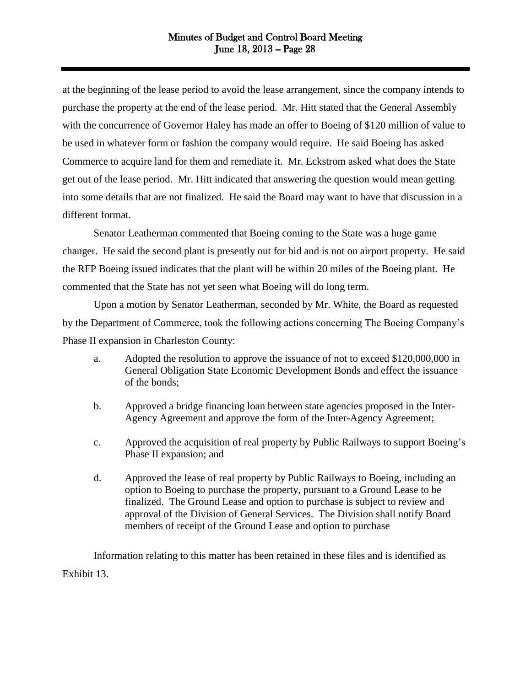at the beginning of the lease period to avoid the lease arrangement, since the company intends to purchase the property at the end of the lease period. Mr. Hitt stated that the General Assembly with the concurrence of Governor Haley has made an offer to Boeing of \$120 million of value to be used in whatever form or fashion the company would require. He said Boeing has asked Commerce to acquire land for them and remediate it. Mr. Eckstrom asked what does the State get out of the lease period. Mr. Hitt indicated that answering the question would mean getting into some details that are not finalized. He said the Board may want to have that discussion in a different format.

Senator Leatherman commented that Boeing coming to the State was a huge game changer. He said the second plant is presently out for bid and is not on airport property. He said the RFP Boeing issued indicates that the plant will be within 20 miles of the Boeing plant. He commented that the State has not yet seen what Boeing will do long term.

Upon a motion by Senator Leatherman, seconded by Mr. White, the Board as requested by the Department of Commerce, took the following actions concerning The Boeing Company's Phase II expansion in Charleston County:

- a. Adopted the resolution to approve the issuance of not to exceed \$120,000,000 in General Obligation State Economic Development Bonds and effect the issuance of the bonds;
- b. Approved a bridge financing loan between state agencies proposed in the Inter-Agency Agreement and approve the form of the Inter-Agency Agreement;
- c. Approved the acquisition of real property by Public Railways to support Boeing's Phase II expansion; and
- d. Approved the lease of real property by Public Railways to Boeing, including an option to Boeing to purchase the property, pursuant to a Ground Lease to be finalized. The Ground Lease and option to purchase is subject to review and approval of the Division of General Services. The Division shall notify Board members of receipt of the Ground Lease and option to purchase

Information relating to this matter has been retained in these files and is identified as Exhibit 13.